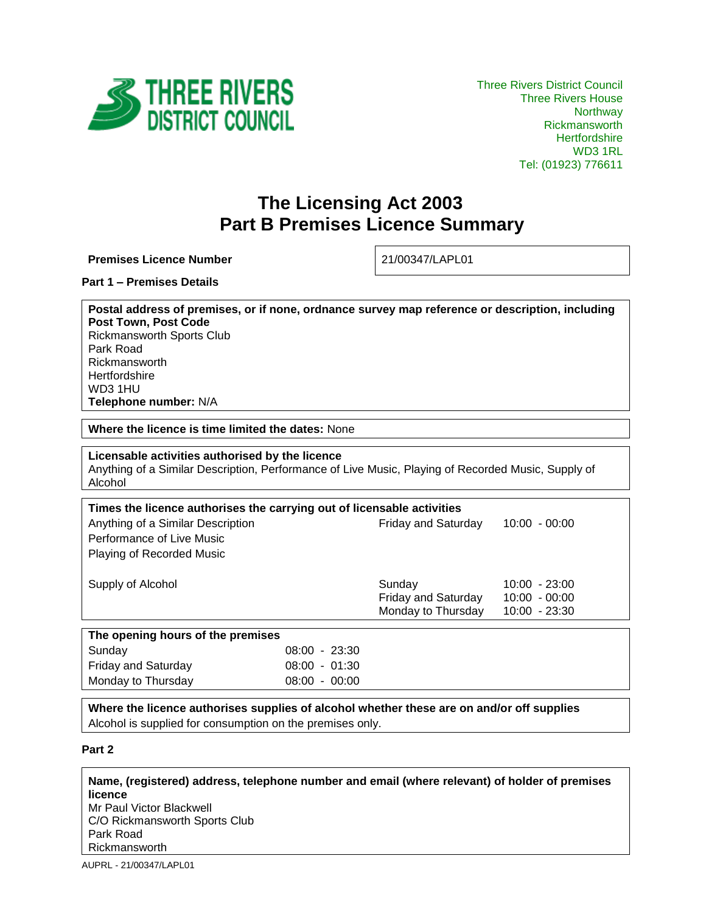

## **The Licensing Act 2003 Part B Premises Licence Summary**

**Premises Licence Number** 21/00347/LAPL01

**Part 1 – Premises Details**

**Postal address of premises, or if none, ordnance survey map reference or description, including Post Town, Post Code** Rickmansworth Sports Club Park Road Rickmansworth **Hertfordshire** WD3 1HU **Telephone number:** N/A

**Where the licence is time limited the dates:** None

**Licensable activities authorised by the licence**  Anything of a Similar Description, Performance of Live Music, Playing of Recorded Music, Supply of Alcohol

| Times the licence authorises the carrying out of licensable activities |                            |                 |  |
|------------------------------------------------------------------------|----------------------------|-----------------|--|
| Anything of a Similar Description                                      | <b>Friday and Saturday</b> | $10:00 - 00:00$ |  |
| Performance of Live Music                                              |                            |                 |  |
| <b>Playing of Recorded Music</b>                                       |                            |                 |  |
|                                                                        |                            |                 |  |
| Supply of Alcohol                                                      | Sunday                     | $10:00 - 23:00$ |  |
|                                                                        | <b>Friday and Saturday</b> | $10:00 - 00:00$ |  |
|                                                                        | Monday to Thursday         | $10:00 - 23:30$ |  |
|                                                                        |                            |                 |  |
| The opening hours of the premises                                      |                            |                 |  |

| ∣ Sunday            | 08:00 - 23:30   |  |
|---------------------|-----------------|--|
| Friday and Saturday | $08:00 - 01:30$ |  |
| Monday to Thursday  | $08:00 - 00:00$ |  |
|                     |                 |  |

**Where the licence authorises supplies of alcohol whether these are on and/or off supplies** Alcohol is supplied for consumption on the premises only.

**Part 2**

**Name, (registered) address, telephone number and email (where relevant) of holder of premises licence**

Mr Paul Victor Blackwell C/O Rickmansworth Sports Club Park Road Rickmansworth

AUPRL - 21/00347/LAPL01